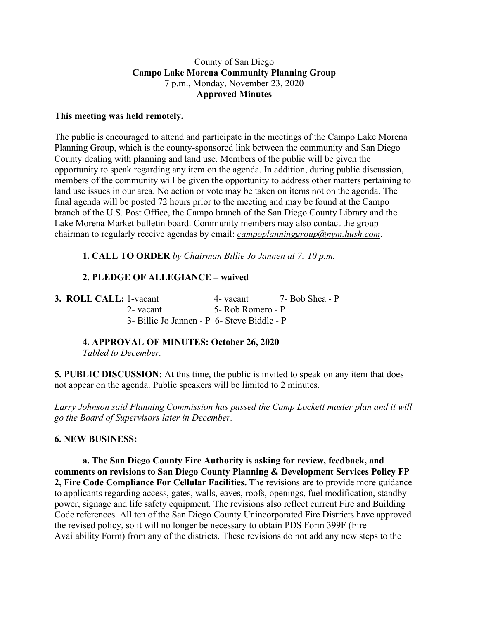#### County of San Diego **Campo Lake Morena Community Planning Group** 7 p.m., Monday, November 23, 2020 **Approved Minutes**

#### **This meeting was held remotely.**

The public is encouraged to attend and participate in the meetings of the Campo Lake Morena Planning Group, which is the county-sponsored link between the community and San Diego County dealing with planning and land use. Members of the public will be given the opportunity to speak regarding any item on the agenda. In addition, during public discussion, members of the community will be given the opportunity to address other matters pertaining to land use issues in our area. No action or vote may be taken on items not on the agenda. The final agenda will be posted 72 hours prior to the meeting and may be found at the Campo branch of the U.S. Post Office, the Campo branch of the San Diego County Library and the Lake Morena Market bulletin board. Community members may also contact the group chairman to regularly receive agendas by email: *campoplanninggroup@nym.hush.com*.

**1. CALL TO ORDER** *by Chairman Billie Jo Jannen at 7: 10 p.m.*

# **2. PLEDGE OF ALLEGIANCE – waived**

**3. ROLL CALL:** 1**-**vacant 4- vacant 7- Bob Shea - P 2- vacant 5- Rob Romero - P 3- Billie Jo Jannen - P 6- Steve Biddle - P

**4. APPROVAL OF MINUTES: October 26, 2020**

*Tabled to December.*

**5. PUBLIC DISCUSSION:** At this time, the public is invited to speak on any item that does not appear on the agenda. Public speakers will be limited to 2 minutes.

*Larry Johnson said Planning Commission has passed the Camp Lockett master plan and it will go the Board of Supervisors later in December.*

## **6. NEW BUSINESS:**

**a. The San Diego County Fire Authority is asking for review, feedback, and comments on revisions to San Diego County Planning & Development Services Policy FP 2, Fire Code Compliance For Cellular Facilities.** The revisions are to provide more guidance to applicants regarding access, gates, walls, eaves, roofs, openings, fuel modification, standby power, signage and life safety equipment. The revisions also reflect current Fire and Building Code references. All ten of the San Diego County Unincorporated Fire Districts have approved the revised policy, so it will no longer be necessary to obtain PDS Form 399F (Fire Availability Form) from any of the districts. These revisions do not add any new steps to the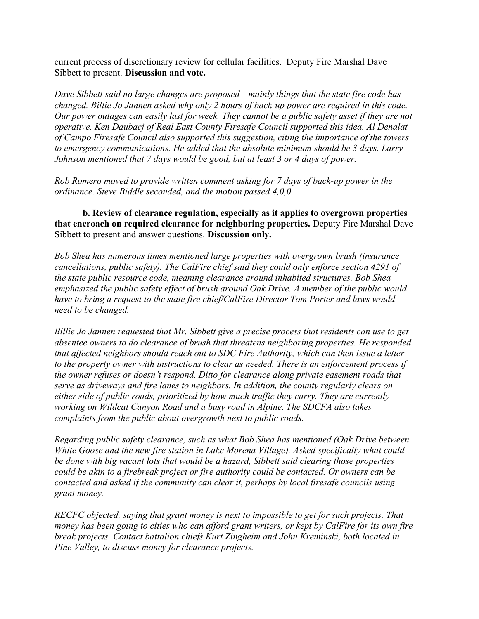current process of discretionary review for cellular facilities. Deputy Fire Marshal Dave Sibbett to present. **Discussion and vote.**

*Dave Sibbett said no large changes are proposed-- mainly things that the state fire code has changed. Billie Jo Jannen asked why only 2 hours of back-up power are required in this code.* Our power outages can easily last for week. They cannot be a public safety asset if they are not *operative. Ken Daubacj of Real East County Firesafe Council supported this idea. Al Denalat of Campo Firesafe Council also supported this suggestion, citing the importance of the towers to emergency communications. He added that the absolute minimum should be 3 days. Larry Johnson mentioned that 7 days would be good, but at least 3 or 4 days of power.*

*Rob Romero moved to provide written comment asking for 7 days of back-up power in the ordinance. Steve Biddle seconded, and the motion passed 4,0,0.*

**b. Review of clearance regulation, especially as it applies to overgrown properties that encroach on required clearance for neighboring properties.** Deputy Fire Marshal Dave Sibbett to present and answer questions. **Discussion only.**

*Bob Shea has numerous times mentioned large properties with overgrown brush (insurance cancellations, public safety). The CalFire chief said they could only enforce section 4291 of the state public resource code, meaning clearance around inhabited structures. Bob Shea emphasized the public safety effect of brush around Oak Drive. A member of the public would have to bring a request to the state fire chief/CalFire Director Tom Porter and laws would need to be changed.*

*Billie Jo Jannen requested that Mr. Sibbett give a precise process that residents can use to get absentee owners to do clearance of brush that threatens neighboring properties. He responded that affected neighbors should reach out to SDC Fire Authority, which can then issue a letter to the property owner with instructions to clear as needed. There is an enforcement process if the owner refuses or doesn't respond. Ditto for clearance along private easement roads that serve as driveways and fire lanes to neighbors. In addition, the county regularly clears on either side of public roads, prioritized by how much traffic they carry. They are currently working on Wildcat Canyon Road and a busy road in Alpine. The SDCFA also takes complaints from the public about overgrowth next to public roads.*

*Regarding public safety clearance, such as what Bob Shea has mentioned (Oak Drive between White Goose and the new fire station in Lake Morena Village). Asked specifically what could be done with big vacant lots that would be a hazard, Sibbett said clearing those properties could be akin to a firebreak project or fire authority could be contacted. Or owners can be contacted and asked if the community can clear it, perhaps by local firesafe councils using grant money.*

*RECFC objected, saying that grant money is next to impossible to get for such projects. That* money has been going to cities who can afford grant writers, or kept by CalFire for its own fire *break projects. Contact battalion chiefs Kurt Zingheim and John Kreminski, both located in Pine Valley, to discuss money for clearance projects.*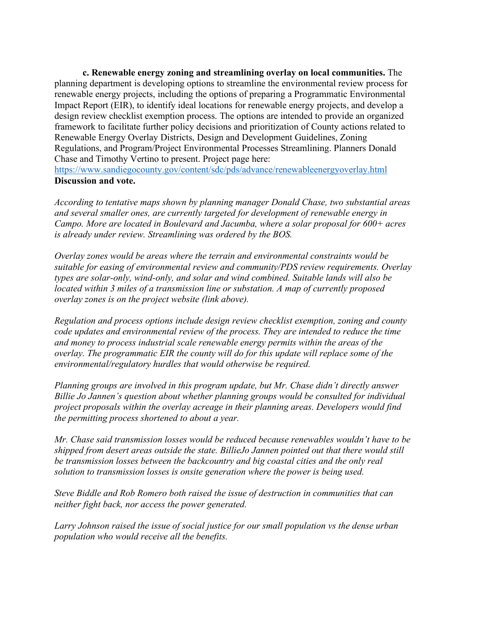**c. Renewable energy zoning and streamlining overlay on local communities.** The planning department is developing options to streamline the environmental review process for renewable energy projects, including the options of preparing a Programmatic Environmental Impact Report (EIR), to identify ideal locations for renewable energy projects, and develop a design review checklist exemption process. The options are intended to provide an organized framework to facilitate further policy decisions and prioritization of County actions related to Renewable Energy Overlay Districts, Design and Development Guidelines, Zoning Regulations, and Program/Project Environmental Processes Streamlining. Planners Donald Chase and Timothy Vertino to present. Project page here:

https://www.sandiegocounty.gov/content/sdc/pds/advance/renewableenergyoverlay.html **Discussion and vote.**

*According to tentative maps shown by planning manager Donald Chase, two substantial areas and several smaller ones, are currently targeted for development of renewable energy in Campo. More are located in Boulevard and Jacumba, where a solar proposal for 600+ acres is already under review. Streamlining was ordered by the BOS.*

*Overlay zones would be areas where the terrain and environmental constraints would be suitable for easing of environmental review and community/PDS review requirements. Overlay types are solar-only, wind-only, and solar and wind combined. Suitable lands will also be located within 3 miles of a transmission line or substation. A map of currently proposed overlay zones is on the project website (link above).*

*Regulation and process options include design review checklist exemption, zoning and county code updates and environmental review of the process. They are intended to reduce the time and money to process industrial scale renewable energy permits within the areas of the overlay. The programmatic EIR the county will do for this update will replace some of the environmental/regulatory hurdles that would otherwise be required.*

*Planning groups are involved in this program update, but Mr. Chase didn't directly answer Billie Jo Jannen's question about whether planning groups would be consulted for individual project proposals within the overlay acreage in their planning areas. Developers would find the permitting process shortened to about a year.*

*Mr. Chase said transmission losses would be reduced because renewables wouldn't have to be shipped from desert areas outside the state. BillieJo Jannen pointed out that there would still be transmission losses between the backcountry and big coastal cities and the only real solution to transmission losses is onsite generation where the power is being used.*

*Steve Biddle and Rob Romero both raised the issue of destruction in communities that can neither fight back, nor access the power generated.*

*Larry Johnson raised the issue of social justice for our small population vs the dense urban population who would receive all the benefits.*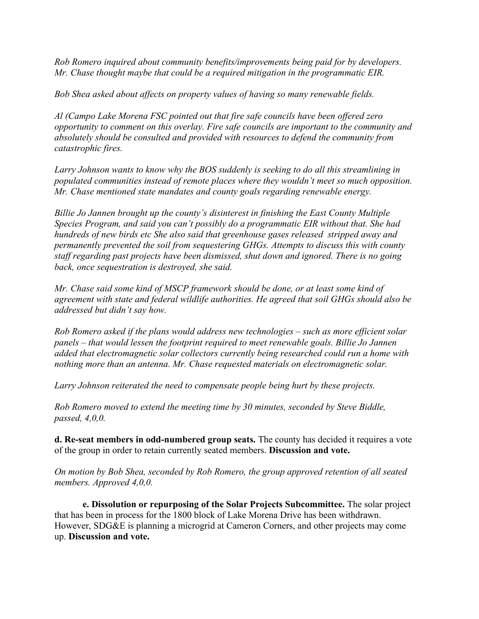*Rob Romero inquired about community benefits/improvements being paid for by developers. Mr. Chase thought maybe that could be a required mitigation in the programmatic EIR.*

*Bob Shea asked about affects on property values of having so many renewable fields.*

*Al (Campo Lake Morena FSC pointed out that fire safe councils have been offered zero opportunity to comment on this overlay. Fire safe councils are important to the community and absolutely should be consulted and provided with resources to defend the community from catastrophic fires.*

*Larry Johnson wants to know why the BOS suddenly is seeking to do all this streamlining in populated communities instead of remote places where they wouldn't meet so much opposition. Mr. Chase mentioned state mandates and county goals regarding renewable energy.*

*Billie Jo Jannen brought up the county's disinterest in finishing the East County Multiple Species Program, and said you can't possibly do a programmatic EIR without that. She had hundreds of new birds etc She also said that greenhouse gases released stripped away and permanently prevented the soil from sequestering GHGs. Attempts to discuss this with county staff regarding past projects have been dismissed, shut down and ignored. There is no going back, once sequestration is destroyed, she said.*

*Mr. Chase said some kind of MSCP framework should be done, or at least some kind of agreement with state and federal wildlife authorities. He agreed that soil GHGs should also be addressed but didn't say how.*

*Rob Romero asked if the plans would address new technologies – such as more efficient solar panels – that would lessen the footprint required to meet renewable goals. Billie Jo Jannen added that electromagnetic solar collectors currently being researched could run a home with nothing more than an antenna. Mr. Chase requested materials on electromagnetic solar.*

*Larry Johnson reiterated the need to compensate people being hurt by these projects.*

*Rob Romero moved to extend the meeting time by 30 minutes, seconded by Steve Biddle, passed, 4,0,0.*

**d. Re-seat members in odd-numbered group seats.** The county has decided it requires a vote of the group in order to retain currently seated members. **Discussion and vote.**

*On motion by Bob Shea, seconded by Rob Romero, the group approved retention of all seated members. Approved 4,0,0.*

**e. Dissolution or repurposing of the Solar Projects Subcommittee.** The solar project that has been in process for the 1800 block of Lake Morena Drive has been withdrawn. However, SDG&E is planning a microgrid at Cameron Corners, and other projects may come up. **Discussion and vote.**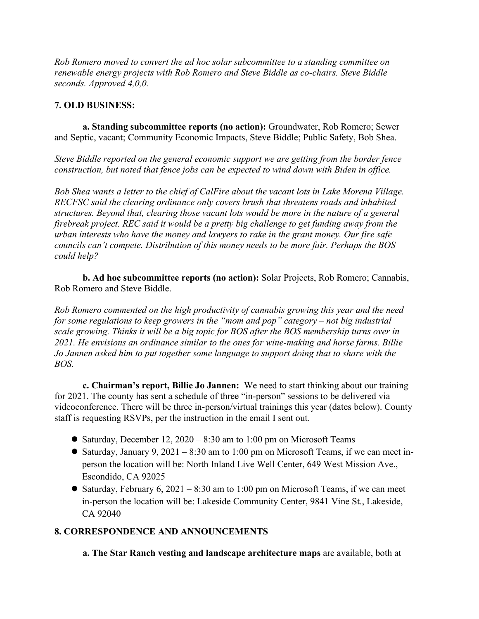*Rob Romero moved to convert the ad hoc solar subcommittee to a standing committee on renewable energy projects with Rob Romero and Steve Biddle as co-chairs. Steve Biddle seconds. Approved 4,0,0.*

## **7. OLD BUSINESS:**

**a. Standing subcommittee reports (no action):** Groundwater, Rob Romero; Sewer and Septic, vacant; Community Economic Impacts, Steve Biddle; Public Safety, Bob Shea.

*Steve Biddle reported on the general economic support we are getting from the border fence construction, but noted that fence jobs can be expected to wind down with Biden in office.*

*Bob Shea wants a letter to the chief of CalFire about the vacant lots in Lake Morena Village. RECFSC said the clearing ordinance only covers brush that threatens roads and inhabited structures. Beyond that, clearing those vacant lots would be more in the nature of a general firebreak project. REC said it would be a pretty big challenge to get funding away from the urban interests who have the money and lawyers to rake in the grant money. Our fire safe councils can't compete. Distribution of this money needs to be more fair. Perhaps the BOS could help?*

**b. Ad hoc subcommittee reports (no action):** Solar Projects, Rob Romero; Cannabis, Rob Romero and Steve Biddle.

*Rob Romero commented on the high productivity of cannabis growing this year and the need for some regulations to keep growers in the "mom and pop" category – not big industrial scale growing. Thinks it will be a big topic for BOS after the BOS membership turns over in 2021. He envisions an ordinance similar to the ones for wine-making and horse farms. Billie Jo Jannen asked him to put together some language to support doing that to share with the BOS.*

**c. Chairman's report, Billie Jo Jannen:** We need to start thinking about our training for 2021. The county has sent a schedule of three "in-person" sessions to be delivered via videoconference. There will be three in-person/virtual trainings this year (dates below). County staff is requesting RSVPs, per the instruction in the email I sent out.

- Saturday, December 12, 2020 8:30 am to 1:00 pm on Microsoft Teams
- Saturday, January 9, 2021 8:30 am to 1:00 pm on Microsoft Teams, if we can meet inperson the location will be: North Inland Live Well Center, 649 West Mission Ave., Escondido, CA 92025
- Saturday, February 6, 2021 8:30 am to 1:00 pm on Microsoft Teams, if we can meet in-person the location will be: Lakeside Community Center, 9841 Vine St., Lakeside, CA 92040

## **8. CORRESPONDENCE AND ANNOUNCEMENTS**

**a. The Star Ranch vesting and landscape architecture maps** are available, both at